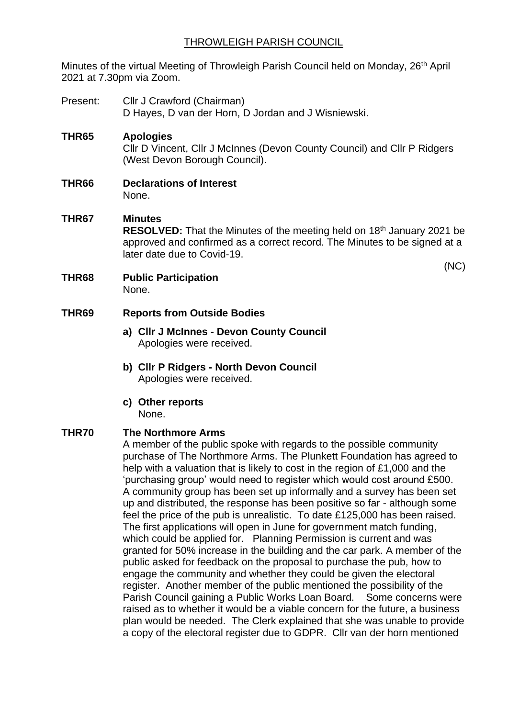# THROWLEIGH PARISH COUNCIL

Minutes of the virtual Meeting of Throwleigh Parish Council held on Monday, 26<sup>th</sup> April 2021 at 7.30pm via Zoom.

- Present: Cllr J Crawford (Chairman) D Hayes, D van der Horn, D Jordan and J Wisniewski.
- **THR65 Apologies** Cllr D Vincent, Cllr J McInnes (Devon County Council) and Cllr P Ridgers (West Devon Borough Council).
- **THR66 Declarations of Interest** None.

# **THR67 Minutes RESOLVED:** That the Minutes of the meeting held on 18<sup>th</sup> January 2021 be approved and confirmed as a correct record. The Minutes to be signed at a later date due to Covid-19.

(NC)

**THR68 Public Participation** None.

#### **THR69 Reports from Outside Bodies**

- **a) Cllr J McInnes - Devon County Council** Apologies were received.
- **b) Cllr P Ridgers - North Devon Council** Apologies were received.
- **c) Other reports**  None.

## **THR70 The Northmore Arms**

A member of the public spoke with regards to the possible community purchase of The Northmore Arms. The Plunkett Foundation has agreed to help with a valuation that is likely to cost in the region of £1,000 and the 'purchasing group' would need to register which would cost around £500. A community group has been set up informally and a survey has been set up and distributed, the response has been positive so far - although some feel the price of the pub is unrealistic. To date £125,000 has been raised. The first applications will open in June for government match funding, which could be applied for. Planning Permission is current and was granted for 50% increase in the building and the car park. A member of the public asked for feedback on the proposal to purchase the pub, how to engage the community and whether they could be given the electoral register. Another member of the public mentioned the possibility of the Parish Council gaining a Public Works Loan Board. Some concerns were raised as to whether it would be a viable concern for the future, a business plan would be needed. The Clerk explained that she was unable to provide a copy of the electoral register due to GDPR. Cllr van der horn mentioned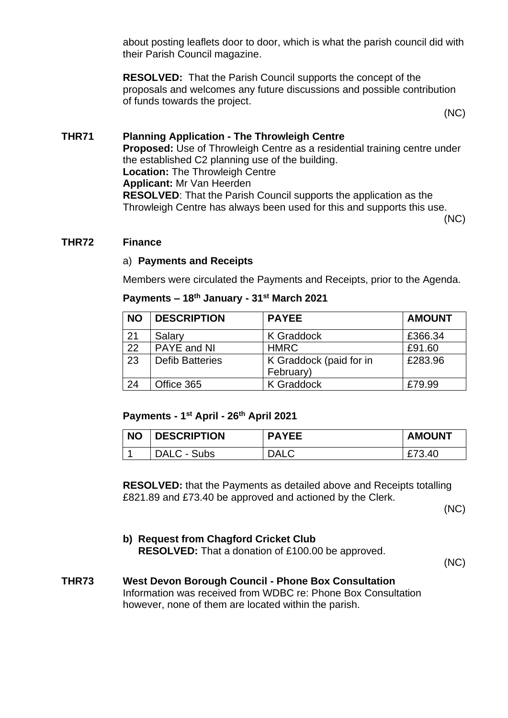about posting leaflets door to door, which is what the parish council did with their Parish Council magazine.

**RESOLVED:** That the Parish Council supports the concept of the proposals and welcomes any future discussions and possible contribution of funds towards the project.

(NC)

# **THR71 Planning Application - The Throwleigh Centre Proposed:** Use of Throwleigh Centre as a residential training centre under the established C2 planning use of the building. **Location:** The Throwleigh Centre **Applicant:** Mr Van Heerden **RESOLVED**: That the Parish Council supports the application as the Throwleigh Centre has always been used for this and supports this use.

(NC)

## **THR72 Finance**

#### a) **Payments and Receipts**

Members were circulated the Payments and Receipts, prior to the Agenda.

#### **Payments – 18th January - 31st March 2021**

| <b>NO</b> | <b>DESCRIPTION</b>     | <b>PAYEE</b>            | <b>AMOUNT</b> |
|-----------|------------------------|-------------------------|---------------|
| 21        | Salary                 | <b>K</b> Graddock       | £366.34       |
| 22        | PAYE and NI            | <b>HMRC</b>             | £91.60        |
| 23        | <b>Defib Batteries</b> | K Graddock (paid for in | £283.96       |
|           |                        | February)               |               |
| 24        | Office 365             | <b>K</b> Graddock       | £79.99        |

#### **Payments - 1 st April - 26 th April 2021**

| <b>NO</b> | <b>DESCRIPTION</b> | <b>PAYEE</b> | <b>AMOUNT</b> |
|-----------|--------------------|--------------|---------------|
|           | DALC - Subs        | <b>DALC</b>  | £73.40        |

**RESOLVED:** that the Payments as detailed above and Receipts totalling £821.89 and £73.40 be approved and actioned by the Clerk.

(NC)

**b) Request from Chagford Cricket Club RESOLVED:** That a donation of £100.00 be approved.

(NC)

# **THR73 West Devon Borough Council - Phone Box Consultation**

Information was received from WDBC re: Phone Box Consultation however, none of them are located within the parish.